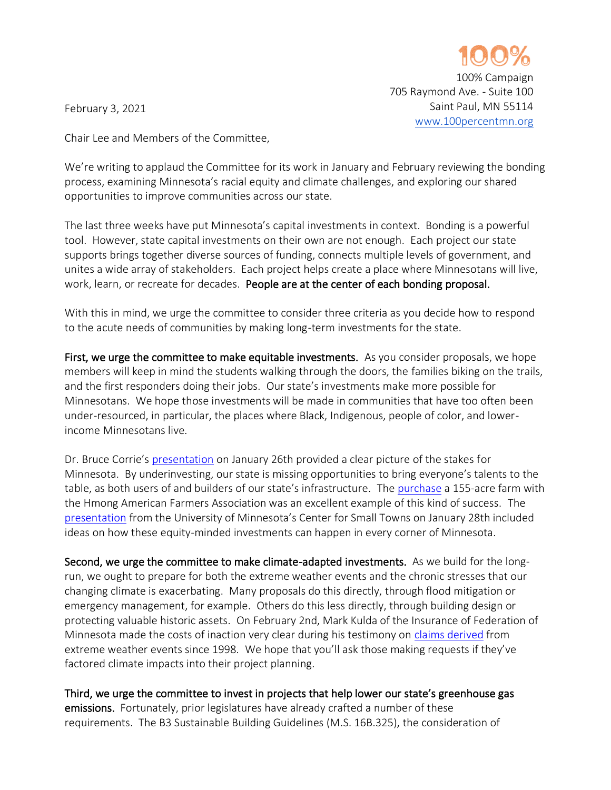

100% Campaign

Saint Paul, MN 55114 [www.100percentmn.org](http://www.100percentmn.org/)

705 Raymond Ave. - Suite 100

February 3, 2021

Chair Lee and Members of the Committee,

We're writing to applaud the Committee for its work in January and February reviewing the bonding process, examining Minnesota's racial equity and climate challenges, and exploring our shared opportunities to improve communities across our state.

The last three weeks have put Minnesota's capital investments in context. Bonding is a powerful tool. However, state capital investments on their own are not enough. Each project our state supports brings together diverse sources of funding, connects multiple levels of government, and unites a wide array of stakeholders. Each project helps create a place where Minnesotans will live, work, learn, or recreate for decades. People are at the center of each bonding proposal.

With this in mind, we urge the committee to consider three criteria as you decide how to respond to the acute needs of communities by making long-term investments for the state.

First, we urge the committee to make equitable investments. As you consider proposals, we hope members will keep in mind the students walking through the doors, the families biking on the trails, and the first responders doing their jobs. Our state's investments make more possible for Minnesotans. We hope those investments will be made in communities that have too often been under-resourced, in particular, the places where Black, Indigenous, people of color, and lowerincome Minnesotans live.

Dr. Bruce Corrie's [presentation](https://www.house.leg.state.mn.us/comm/docs/AZVtH9X0pUSnvphm5znkNw.pdf) on January 26th provided a clear picture of the stakes for Minnesota. By underinvesting, our state is missing opportunities to bring everyone's talents to the table, as both users of and builders of our state's infrastructure. The [purchase](https://www.house.leg.state.mn.us/comm/docs/zCbueAl4vUqzTW5eloN-HA.pdf) a 155-acre farm with the Hmong American Farmers Association was an excellent example of this kind of success. The [presentation](https://www.house.leg.state.mn.us/comm/docs/Tojc7Sg0BkePLg39RrewfA.pdf) from the University of Minnesota's Center for Small Towns on January 28th included ideas on how these equity-minded investments can happen in every corner of Minnesota.

Second, we urge the committee to make climate-adapted investments. As we build for the longrun, we ought to prepare for both the extreme weather events and the chronic stresses that our changing climate is exacerbating. Many proposals do this directly, through flood mitigation or emergency management, for example. Others do this less directly, through building design or protecting valuable historic assets. On February 2nd, Mark Kulda of the Insurance of Federation of Minnesota made the costs of inaction very clear during his testimony on [claims derived](https://www.house.leg.state.mn.us/comm/docs/Fi0XqSGN8kenggRWWlKd4g.pdf) from extreme weather events since 1998. We hope that you'll ask those making requests if they've factored climate impacts into their project planning.

Third, we urge the committee to invest in projects that help lower our state's greenhouse gas emissions. Fortunately, prior legislatures have already crafted a number of these requirements. The B3 Sustainable Building Guidelines (M.S. 16B.325), the consideration of